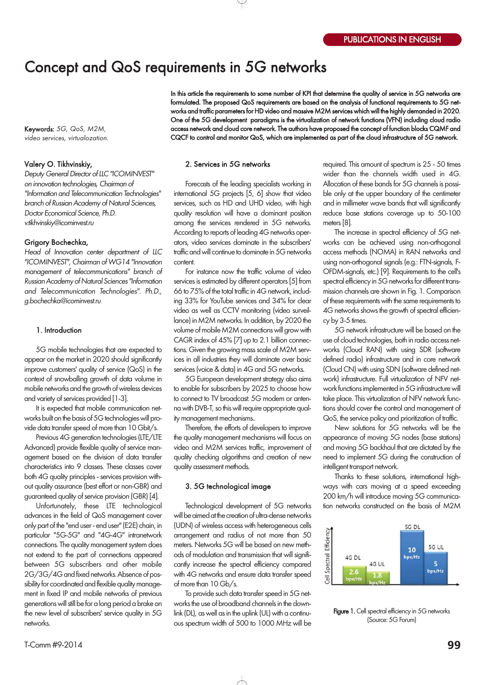# Concept and QoS requirements in 5G networks

Keywords: 5G, QoS, M2M, video services, virtualozation.

## Valery O. Tikhvinskiy,

Deputy General Director of LLC "ICOMINVEST" on innovation technologies, Chairman of "Information and Telecommunication Technologies" branch of Russian Academy of Natural Sciences, Doctor Economical Science, Ph.D. v.tikhvinskiy@icominvest.ru

#### Grigory Bochechka,

Head of Innovation center department of LLC "ICOMINVEST", Chairman of WG14 "Innovation management of telecommunications" branch of Russian Academy of Natural Sciences "Information and Telecommunication Technologies". Ph.D., g.bochechka@icominvest.ru

## 1. Introduction

5G mobile technologies that are expected to appear on the market in 2020 should significantly improve customers' quality of service (QoS) in the context of snowballing growth of data volume in mobile networks and the growth of wireless devices and variety of services provided [13].

It is expected that mobile communication net works built on the basis of 5G technologies will pro vide data transfer speed of more than 10 Gbit/s.

Previous 4G generation technologies (LTE/LTE Advanced) provide flexible quality of service man agement based on the division of data transfer characteristics into 9 classes. These classes cover both 4G quality principles - services provision without quality assurance (best effort or non-GBR) and guaranteed quality of service provision (GBR) [4].

Unfortunately, these LTE technological advances in the field of QoS management cover only part of the "end user end user" (E2E) chain, in particular "5G-5G" and "4G-4G" intranetwork connections. The quality management system does not extend to the part of connections appeared between 5G subscribers and other mobile 2G/3G/4G and fixed networks. Absence of pos sibility for coordinated and flexible quality manage ment in fixed IP and mobile networks of previous generations will still be for a long period a brake on the new level of subscribers' service quality in 5G networks.

In this article the requirements to some number of KPI that determine the quality of service in 5G networks are formulated. The proposed QoS requirements are based on the analysis of functional requirements to 5G net works and traffic parameters for HD video and massive M2M services which will the highly demanded in 2020. One of the 5G development paradigms is the virtualization of network functions (VFN) including cloud radio access network and cloud core network. The authors have proposed the concept of function blocks CQMF and CQCF to control and monitor QoS, which are implemented as part of the cloud infrastructure of 5G network.

## 2. Services in 5G networks

Forecasts of the leading specialists working in international 5G projects [5, 6] show that video services, such as HD and UHD video, with high quality resolution will have a dominant position among the services rendered in 5G networks. According to reports of leading 4G networks oper ators, video services dominate in the subscribers' traffic and will continue to dominate in 5G networks content.

For instance now the traffic volume of video services is estimated by different operators [5] from 66 to 75% of the total traffic in 4G network, includ ing 33% for YouTube services and 34% for clear video as well as CCTV monitoring (video surveil lance) in M2M networks. In addition, by 2020 the volume of mobile M2M connections will grow with CAGR index of 45% [7] up to 2.1 billion connec tions. Given the growing mass scale of M2M serv ices in all industries they will dominate over basic services (voice & data) in 4G and 5G networks.

5G European development strategy also aims to enable for subscribers by 2025 to choose how to connect to TV broadcast: 5G modem or anten na with DVB-T, so this will require appropriate quality management mechanisms..

Therefore, the efforts of developers to improve the quality management mechanisms will focus on video and M2M services traffic, improvement of quality checking algorithms and creation of new quality assessment methods.

## 3. 5G technological image

Technological development of 5G networks will be aimed at the creation of ultra-dense networks (UDN) of wireless access with heterogeneous cells arrangement and radius of not more than 50 meters. Networks 5G will be based on new meth ods of modulation and transmission that will signifi cantly increase the spectral efficiency compared with 4G networks and ensure data transfer speed of more than 10 Gb/s.

To provide such data transfer speed in 5G net works the use of broadband channels in the down link (DL), as well as in the uplink (UL) with a continu ous spectrum width of 500 to 1000 MHz will be

required. This amount of spectrum is 25 - 50 times wider than the channels width used in 4G. Allocation of these bands for 5G channels is possi ble only at the upper boundary of the centimeter and in millimeter wave bands that will significantly reduce base stations coverage up to 50-100 meters [8].

The increase in spectral efficiency of 5G net works can be achieved using non-orthogonal access methods (NOMA) in RAN networks and using non-orthogonal signals (e.g.: FTN-signals, F-OFDMsignals, etc.) [9]. Requirements to the cell's spectral efficiency in 5G networks for different trans mission channels are shown in Fig. 1. Comparison of these requirements with the same requirements to 4G networks shows the growth of spectral efficien  $cy$  by 3-5 times.

5G network infrastructure will be based on the use of cloud technologies, both in radio access net works (Cloud RAN) with using SDR (software defined radio) infrastructure and in core network (Cloud CN) with using SDN (software defined net work) infrastructure. Full virtualization of NFV net work functions implemented in 5G infrastructure will take place. This virtualization of NFV network func tions should cover the control and management of QoS, the service policy and prioritization of traffic.

New solutions for 5G networks will be the appearance of moving 5G nodes (base stations) and moving 5G backhaul that are dictated by the need to implement 5G during the construction of intelligent transport network.

Thanks to these solutions, international high ways with cars moving at a speed exceeding 200 km/h will introduce moving 5G communica tion networks constructed on the basis of M2M



Figure 1. Cell spectral efficiency in 5G networks (Source: 5G Forum)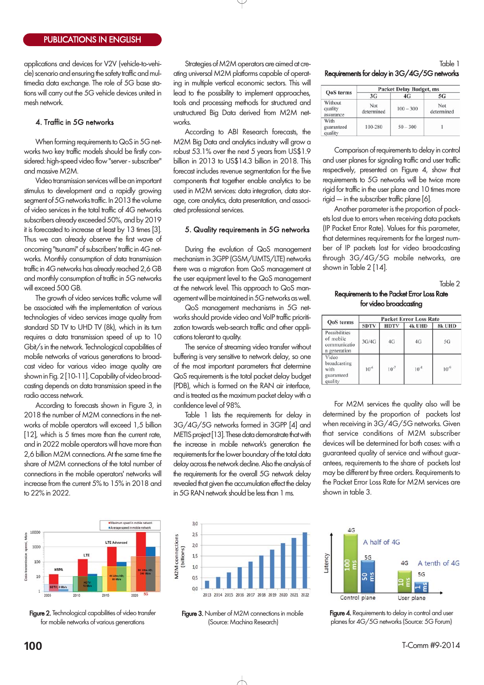applications and devices for V2V (vehicle-to-vehicle) scenario and ensuring the safety traffic and mul timedia data exchange. The role of 5G base sta tions will carry out the 5G vehicle devices united in mesh network.

# 4. Traffic in 5G networks

When forming requirements to QoS in 5G net works two key traffic models should be firstly con sidered: high-speed video flow "server - subscriber" and massive M2M.

Video transmission services will be an important stimulus to development and a rapidly growing segment of 5G networks traffic. In 2013 the volume of video services in the total traffic of 4G networks subscribers already exceeded 50%, and by 2019 it is forecasted to increase at least by 13 times [3]. Thus we can already observe the first wave of oncoming "tsunami" of subscribers' traffic in 4G net works. Monthly consumption of data transmission traffic in 4G networks has already reached 2,6 GB and monthly consumption of traffic in 5G networks will exceed 500 GB.

The growth of video services traffic volume will be associated with the implementation of various technologies of video services image quality from standard SD TV to UHD TV (8k), which in its turn requires a data transmission speed of up to 10 Gbit/s in the network. Technological capabilities of mobile networks of various generations to broad cast video for various video image quality are shown in Fig. 2 [10-11]. Capability of video broadcasting depends on data transmission speed in the radio access network.

According to forecasts shown in Figure 3, in 2018 the number of M2M connections in the networks of mobile operators will exceed 1,5 billion [12], which is 5 times more than the current rate, and in 2022 mobile operators will have more than 2,6 billion M2M connections. At the same time the share of M2M connections of the total number of connections in the mobile operators' networks will increase from the current 5% to 15% in 2018 and to 22% in 2022.

m speed in mobile n avie. **LTE Advanced** zweed 1000 LTE  $100$ HSP  $bin 1$ 10

Figure 2. Technological capabilities of video transfer for mobile networks of various generations

Strategies of M2M operators are aimed at cre ating universal M2M platforms capable of operat ing in multiple vertical economic sectors. This will lead to the possibility to implement approaches, tools and processing methods for structured and unstructured Big Data derived from M2M net works.

According to ABI Research forecasts, the M2M Big Data and analytics industry will grow a robust 53.1% over the next 5 years from US\$1.9 billion in 2013 to US\$14.3 billion in 2018. This forecast includes revenue segmentation for the five components that together enable analytics to be used in M2M services: data integration, data stor age, core analytics, data presentation, and associ ated professional services.

## 5. Quality requirements in 5G networks

During the evolution of QoS management mechanism in 3GPP (GSM/UMTS/LTE) networks there was a migration from QoS management at the user equipment level to the QoS management at the network level. This approach to QoS man agement will be maintained in 5G networks as well.

QoS management mechanisms in 5G net works should provide video and VoIP traffic prioriti zation towards web-search traffic and other applications tolerant to quality.

The service of streaming video transfer without buffering is very sensitive to network delay, so one of the most important parameters that determine QoS requirements is the total packet delay budget (PDB), which is formed on the RAN air interface, and is treated as the maximum packet delay with a confidence level of 98%.

Table 1 lists the requirements for delay in 3G/4G/5G networks formed in 3GPP [4] and METIS project [13]. These data demonstrate that with the increase in mobile network's generation the requirements for the lower boundary of the total data delay across the network decline. Also the analysis of the requirements for the overall 5G network delay revealed that given the accumulation effect the delay in 5G RAN network should be less than 1 ms.



| QoS terms                       | <b>Packet Delay Budget, ms</b> |             |                   |  |  |
|---------------------------------|--------------------------------|-------------|-------------------|--|--|
|                                 | 3G                             | 4G          | 5G                |  |  |
| Without<br>quality<br>assurance | Not<br>determined              | $100 - 300$ | Not<br>determined |  |  |
| With<br>guaranteed<br>quality   | 100-280                        | $50 - 300$  |                   |  |  |

Comparison of requirements to delay in control and user planes for signaling traffic and user traffic respectively, presented on Figure 4, show that requirements to 5G networks will be twice more rigid for traffic in the user plane and 10 times more rigid — in the subscriber traffic plane [6].

Another parameter is the proportion of pack ets lost due to errors when receiving data packets (IP Packet Error Rate). Values for this parameter, that determines requirements for the largest num ber of IP packets lost for video broadcasting through 3G/4G/5G mobile networks, are shown in Table 2 [14].

Table 2

# Requirements to the Packet Error Loss Rate for video broadcasting

| <b>QoS</b> terms                                           | <b>Packet Error Loss Rate</b> |             |           |           |  |
|------------------------------------------------------------|-------------------------------|-------------|-----------|-----------|--|
|                                                            | <b>SDTV</b>                   | <b>HDTV</b> | 4k UHD    | 8k UHD    |  |
| Possibilities<br>of mobile<br>communicatio<br>n generation | 3G/4G                         | 4G          | 4G        | 5G        |  |
| Video<br>broadcasting<br>with<br>guaranteed<br>quality     | $10^{-6}$                     | $10^{-7}$   | $10^{-8}$ | $10^{-9}$ |  |

For M2M services the quality also will be determined by the proportion of packets lost when receiving in 3G/4G/5G networks. Given that service conditions of M2M subscriber devices will be determined for both cases: with a guaranteed quality of service and without guar antees, requirements to the share of packets lost may be different by three orders. Requirements to the Packet Error Loss Rate for M2M services are shown in table 3.



Figure 3. Number of M2M connections in mobile (Source: Machina Research)



Figure 4. Requirements to delay in control and user planes for 4G/5G networks (Source: 5G Forum)